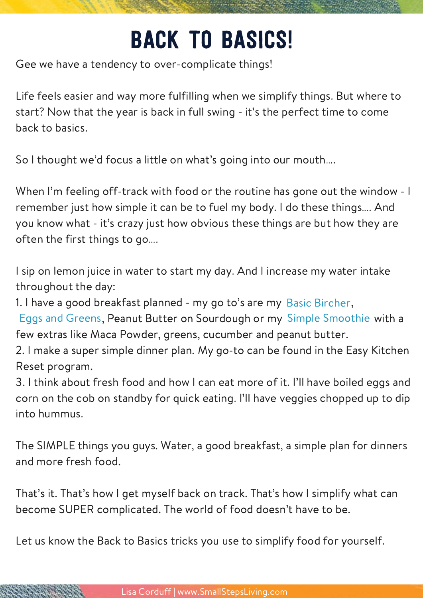## Back to basics!

Gee we have a tendency to over-complicate things!

Life feels easier and way more fulfilling when we simplify things. But where to start? Now that the year is back in full swing - it's the perfect time to come back to basics.

So I thought we'd focus a little on what's going into our mouth….

When I'm feeling off-track with food or the routine has gone out the window - I remember just how simple it can be to fuel my body. I do these things…. And you know what - it's crazy just how obvious these things are but how they are often the first things to go….

I sip on lemon juice in water to start my day. And I increase my water intake throughout the day:

1. I have a good breakfast planned - my go to's are my Basic [Bircher](https://members.smallstepsliving.com/2017/03/05/how-to-basic-bircher-muesli/),

Eggs and Greens, [Peanut](https://members.smallstepsliving.com/2017/04/02/how-to-butter-and-veggie-breakfast/) Butter on Sourdough or my Simple [Smoothie](https://members.smallstepsliving.com/2016/12/02/how-to-simple-smoothie/) with a few extras like Maca Powder, greens, cucumber and peanut butter.

2. I make a super simple dinner plan. My go-to can be found in the Easy Kitchen Reset program.

3. I think about fresh food and how I can eat more of it. I'll have boiled eggs and corn on the cob on standby for quick eating. I'll have veggies chopped up to dip into hummus.

The SIMPLE things you guys. Water, a good breakfast, a simple plan for dinners and more fresh food.

That's it. That's how I get myself back on track. That's how I simplify what can become SUPER complicated. The world of food doesn't have to be.

Let us know the Back to Basics tricks you use to simplify food for yourself.